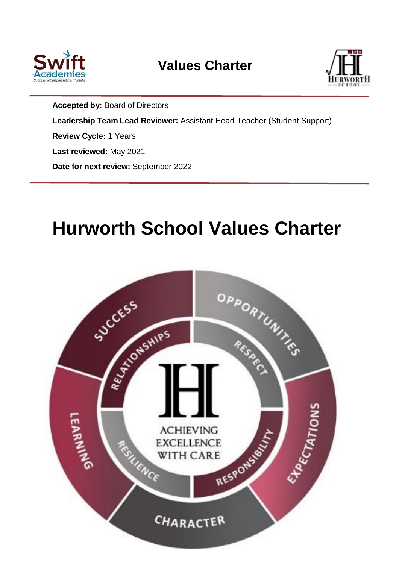

# **Values Charter**



**Accepted by:** Board of Directors **Leadership Team Lead Reviewer:** Assistant Head Teacher (Student Support) **Review Cycle:** 1 Years **Last reviewed:** May 2021 **Date for next review:** September 2022

# **Hurworth School Values Charter**

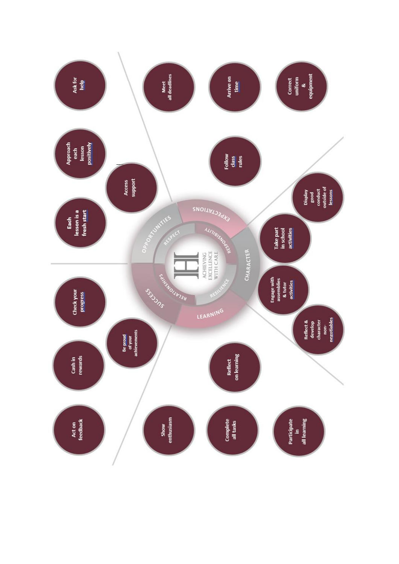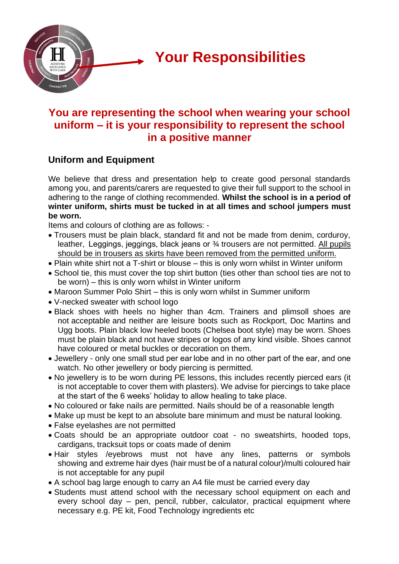

# **You are representing the school when wearing your school uniform – it is your responsibility to represent the school in a positive manner**

# **Uniform and Equipment**

We believe that dress and presentation help to create good personal standards among you, and parents/carers are requested to give their full support to the school in adhering to the range of clothing recommended. **Whilst the school is in a period of winter uniform, shirts must be tucked in at all times and school jumpers must be worn.**

Items and colours of clothing are as follows: -

- Trousers must be plain black, standard fit and not be made from denim, corduroy, leather,  Leggings, jeggings, black jeans or ¾ trousers are not permitted. All pupils should be in trousers as skirts have been removed from the permitted uniform.
- Plain white shirt not a T-shirt or blouse this is only worn whilst in Winter uniform
- School tie, this must cover the top shirt button (ties other than school ties are not to be worn) – this is only worn whilst in Winter uniform
- Maroon Summer Polo Shirt this is only worn whilst in Summer uniform
- V-necked sweater with school logo
- Black shoes with heels no higher than 4cm. Trainers and plimsoll shoes are not acceptable and neither are leisure boots such as Rockport, Doc Martins and Ugg boots. Plain black low heeled boots (Chelsea boot style) may be worn. Shoes must be plain black and not have stripes or logos of any kind visible. Shoes cannot have coloured or metal buckles or decoration on them.
- Jewellery only one small stud per ear lobe and in no other part of the ear, and one watch. No other jewellery or body piercing is permitted.
- No jewellery is to be worn during PE lessons, this includes recently pierced ears (it is not acceptable to cover them with plasters). We advise for piercings to take place at the start of the 6 weeks' holiday to allow healing to take place.
- No coloured or fake nails are permitted. Nails should be of a reasonable length
- Make up must be kept to an absolute bare minimum and must be natural looking.
- False eyelashes are not permitted
- Coats should be an appropriate outdoor coat no sweatshirts, hooded tops, cardigans, tracksuit tops or coats made of denim
- Hair styles /eyebrows must not have any lines, patterns or symbols showing and extreme hair dyes (hair must be of a natural colour)/multi coloured hair is not acceptable for any pupil
- A school bag large enough to carry an A4 file must be carried every day
- Students must attend school with the necessary school equipment on each and every school day – pen, pencil, rubber, calculator, practical equipment where necessary e.g. PE kit, Food Technology ingredients etc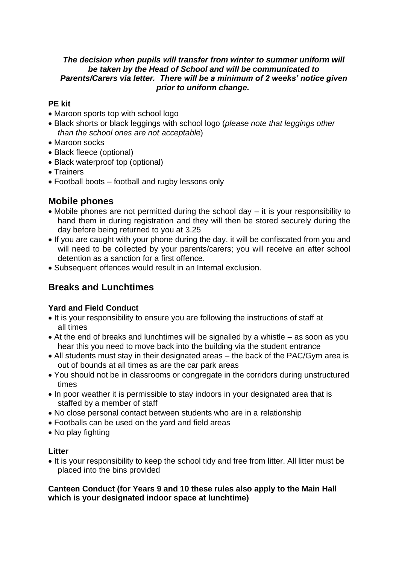#### *The decision when pupils will transfer from winter to summer uniform will be taken by the Head of School and will be communicated to Parents/Carers via letter. There will be a minimum of 2 weeks' notice given prior to uniform change.*

### **PE kit**

- Maroon sports top with school logo
- Black shorts or black leggings with school logo (*please note that leggings other than the school ones are not acceptable*)
- Maroon socks
- Black fleece (optional)
- Black waterproof top (optional)
- Trainers
- Football boots football and rugby lessons only

# **Mobile phones**

- Mobile phones are not permitted during the school day it is your responsibility to hand them in during registration and they will then be stored securely during the day before being returned to you at 3.25
- If you are caught with your phone during the day, it will be confiscated from you and will need to be collected by your parents/carers; you will receive an after school detention as a sanction for a first offence.
- Subsequent offences would result in an Internal exclusion.

# **Breaks and Lunchtimes**

## **Yard and Field Conduct**

- It is your responsibility to ensure you are following the instructions of staff at all times
- At the end of breaks and lunchtimes will be signalled by a whistle as soon as you hear this you need to move back into the building via the student entrance
- All students must stay in their designated areas the back of the PAC/Gym area is out of bounds at all times as are the car park areas
- You should not be in classrooms or congregate in the corridors during unstructured times
- In poor weather it is permissible to stay indoors in your designated area that is staffed by a member of staff
- No close personal contact between students who are in a relationship
- Footballs can be used on the yard and field areas
- No play fighting

### **Litter**

• It is your responsibility to keep the school tidy and free from litter. All litter must be placed into the bins provided

#### **Canteen Conduct (for Years 9 and 10 these rules also apply to the Main Hall which is your designated indoor space at lunchtime)**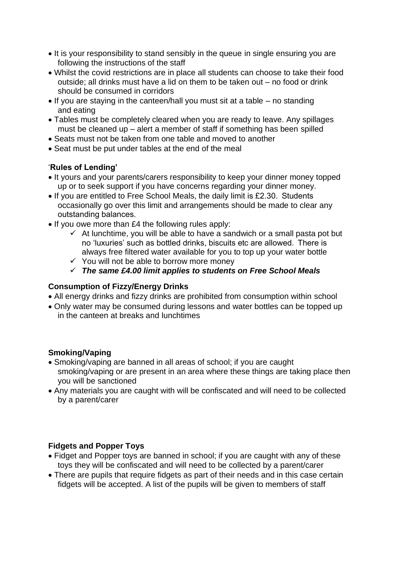- It is your responsibility to stand sensibly in the queue in single ensuring you are following the instructions of the staff
- Whilst the covid restrictions are in place all students can choose to take their food outside; all drinks must have a lid on them to be taken out – no food or drink should be consumed in corridors
- If you are staying in the canteen/hall you must sit at a table no standing and eating
- Tables must be completely cleared when you are ready to leave. Any spillages must be cleaned up – alert a member of staff if something has been spilled
- Seats must not be taken from one table and moved to another
- Seat must be put under tables at the end of the meal

### '**Rules of Lending'**

- It yours and your parents/carers responsibility to keep your dinner money topped up or to seek support if you have concerns regarding your dinner money.
- If you are entitled to Free School Meals, the daily limit is £2.30.  Students occasionally go over this limit and arrangements should be made to clear any outstanding balances.
- If you owe more than £4 the following rules apply:
	- $\checkmark$  At lunchtime, you will be able to have a sandwich or a small pasta pot but no 'luxuries' such as bottled drinks, biscuits etc are allowed.  There is always free filtered water available for you to top up your water bottle
	- ✓ You will not be able to borrow more money

✓ *The same £4.00 limit applies to students on Free School Meals*

### **Consumption of Fizzy/Energy Drinks**

- All energy drinks and fizzy drinks are prohibited from consumption within school
- Only water may be consumed during lessons and water bottles can be topped up in the canteen at breaks and lunchtimes

### **Smoking/Vaping**

- Smoking/vaping are banned in all areas of school; if you are caught smoking/vaping or are present in an area where these things are taking place then you will be sanctioned
- Any materials you are caught with will be confiscated and will need to be collected by a parent/carer

### **Fidgets and Popper Toys**

- Fidget and Popper toys are banned in school; if you are caught with any of these toys they will be confiscated and will need to be collected by a parent/carer
- There are pupils that require fidgets as part of their needs and in this case certain fidgets will be accepted. A list of the pupils will be given to members of staff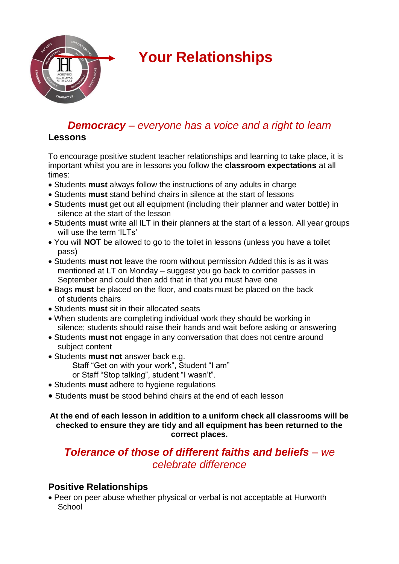

# **Your Relationships**

# *Democracy – everyone has a voice and a right to learn*

## **Lessons**

To encourage positive student teacher relationships and learning to take place, it is important whilst you are in lessons you follow the **classroom expectations** at all times:

- Students **must** always follow the instructions of any adults in charge
- Students **must** stand behind chairs in silence at the start of lessons
- Students **must** get out all equipment (including their planner and water bottle) in silence at the start of the lesson
- Students **must** write all ILT in their planners at the start of a lesson. All year groups will use the term 'ILTs'
- You will **NOT** be allowed to go to the toilet in lessons (unless you have a toilet pass)
- Students **must not** leave the room without permission Added this is as it was mentioned at LT on Monday – suggest you go back to corridor passes in September and could then add that in that you must have one
- Bags **must** be placed on the floor, and coats must be placed on the back of students chairs
- Students **must** sit in their allocated seats
- When students are completing individual work they should be working in silence; students should raise their hands and wait before asking or answering
- Students **must not** engage in any conversation that does not centre around subject content
- Students **must not** answer back e.g. Staff "Get on with your work", Student "I am" or Staff "Stop talking", student "I wasn't".
- Students **must** adhere to hygiene regulations
- Students **must** be stood behind chairs at the end of each lesson

#### **At the end of each lesson in addition to a uniform check all classrooms will be checked to ensure they are tidy and all equipment has been returned to the correct places.**

# *Tolerance of those of different faiths and beliefs – we celebrate difference*

# **Positive Relationships**

• Peer on peer abuse whether physical or verbal is not acceptable at Hurworth **School**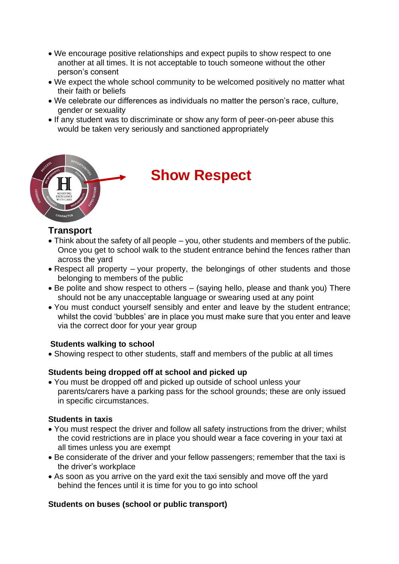- We encourage positive relationships and expect pupils to show respect to one another at all times. It is not acceptable to touch someone without the other person's consent
- We expect the whole school community to be welcomed positively no matter what their faith or beliefs
- We celebrate our differences as individuals no matter the person's race, culture, gender or sexuality
- If any student was to discriminate or show any form of peer-on-peer abuse this would be taken very seriously and sanctioned appropriately



# **Show Respect**

## **Transport**

- Think about the safety of all people you, other students and members of the public. Once you get to school walk to the student entrance behind the fences rather than across the yard
- Respect all property your property, the belongings of other students and those belonging to members of the public
- Be polite and show respect to others (saying hello, please and thank you) There should not be any unacceptable language or swearing used at any point
- You must conduct yourself sensibly and enter and leave by the student entrance; whilst the covid 'bubbles' are in place you must make sure that you enter and leave via the correct door for your year group

### **Students walking to school**

• Showing respect to other students, staff and members of the public at all times

### **Students being dropped off at school and picked up**

• You must be dropped off and picked up outside of school unless your parents/carers have a parking pass for the school grounds; these are only issued in specific circumstances.

### **Students in taxis**

- You must respect the driver and follow all safety instructions from the driver: whilst the covid restrictions are in place you should wear a face covering in your taxi at all times unless you are exempt
- Be considerate of the driver and your fellow passengers; remember that the taxi is the driver's workplace
- As soon as you arrive on the yard exit the taxi sensibly and move off the yard behind the fences until it is time for you to go into school

### **Students on buses (school or public transport)**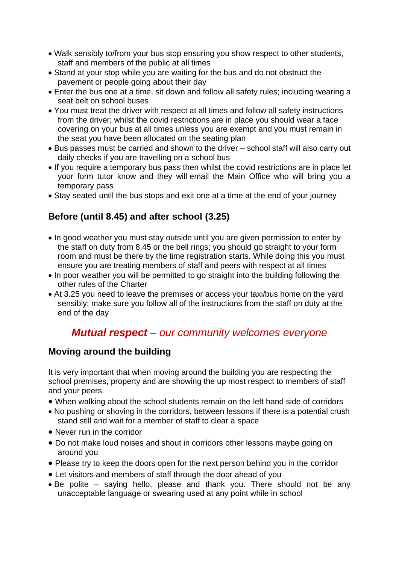- Walk sensibly to/from your bus stop ensuring you show respect to other students, staff and members of the public at all times
- Stand at your stop while you are waiting for the bus and do not obstruct the pavement or people going about their day
- Enter the bus one at a time, sit down and follow all safety rules; including wearing a seat belt on school buses
- You must treat the driver with respect at all times and follow all safety instructions from the driver; whilst the covid restrictions are in place you should wear a face covering on your bus at all times unless you are exempt and you must remain in the seat you have been allocated on the seating plan
- Bus passes must be carried and shown to the driver school staff will also carry out daily checks if you are travelling on a school bus
- If you require a temporary bus pass then whilst the covid restrictions are in place let your form tutor know and they will email the Main Office who will bring you a temporary pass
- Stay seated until the bus stops and exit one at a time at the end of your journey

# **Before (until 8.45) and after school (3.25)**

- In good weather you must stay outside until you are given permission to enter by the staff on duty from 8.45 or the bell rings; you should go straight to your form room and must be there by the time registration starts. While doing this you must ensure you are treating members of staff and peers with respect at all times
- In poor weather you will be permitted to go straight into the building following the other rules of the Charter
- At 3.25 you need to leave the premises or access your taxi/bus home on the yard sensibly; make sure you follow all of the instructions from the staff on duty at the end of the day

# *Mutual respect – our community welcomes everyone*

# **Moving around the building**

It is very important that when moving around the building you are respecting the school premises, property and are showing the up most respect to members of staff and your peers.

- When walking about the school students remain on the left hand side of corridors
- No pushing or shoving in the corridors, between lessons if there is a potential crush stand still and wait for a member of staff to clear a space
- Never run in the corridor
- Do not make loud noises and shout in corridors other lessons maybe going on around you
- Please try to keep the doors open for the next person behind you in the corridor
- Let visitors and members of staff through the door ahead of you
- Be polite saying hello, please and thank you. There should not be any unacceptable language or swearing used at any point while in school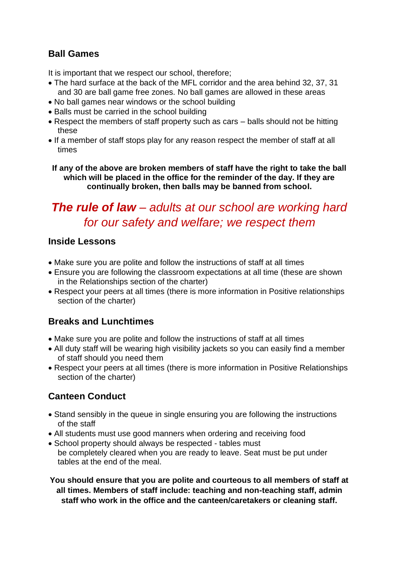# **Ball Games**

It is important that we respect our school, therefore;

- The hard surface at the back of the MFL corridor and the area behind 32, 37, 31 and 30 are ball game free zones. No ball games are allowed in these areas
- No ball games near windows or the school building
- Balls must be carried in the school building
- Respect the members of staff property such as cars balls should not be hitting these
- If a member of staff stops play for any reason respect the member of staff at all times

**If any of the above are broken members of staff have the right to take the ball which will be placed in the office for the reminder of the day. If they are continually broken, then balls may be banned from school.** 

# *The rule of law – adults at our school are working hard for our safety and welfare; we respect them*

## **Inside Lessons**

- Make sure you are polite and follow the instructions of staff at all times
- Ensure you are following the classroom expectations at all time (these are shown in the Relationships section of the charter)
- Respect your peers at all times (there is more information in Positive relationships section of the charter)

# **Breaks and Lunchtimes**

- Make sure you are polite and follow the instructions of staff at all times
- All duty staff will be wearing high visibility jackets so you can easily find a member of staff should you need them
- Respect your peers at all times (there is more information in Positive Relationships section of the charter)

# **Canteen Conduct**

- Stand sensibly in the queue in single ensuring you are following the instructions of the staff
- All students must use good manners when ordering and receiving food
- School property should always be respected tables must be completely cleared when you are ready to leave. Seat must be put under tables at the end of the meal.

**You should ensure that you are polite and courteous to all members of staff at all times. Members of staff include: teaching and non-teaching staff, admin staff who work in the office and the canteen/caretakers or cleaning staff.**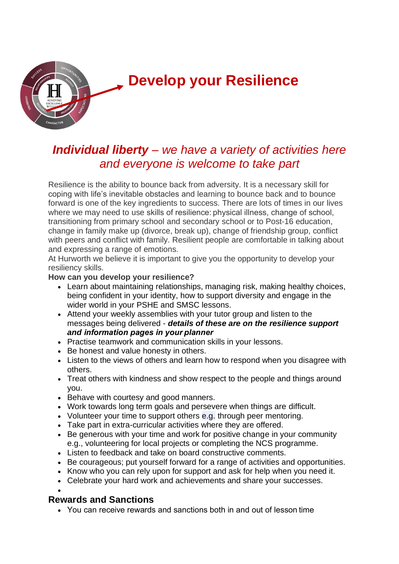

# *Individual liberty – we have a variety of activities here and everyone is welcome to take part*

Resilience is the ability to bounce back from adversity. It is a necessary skill for coping with life's inevitable obstacles and learning to bounce back and to bounce forward is one of the key ingredients to success. There are lots of times in our lives where we may need to use skills of resilience: physical illness, change of school, transitioning from primary school and secondary school or to Post-16 education, change in family make up (divorce, break up), change of friendship group, conflict with peers and conflict with family. Resilient people are comfortable in talking about and expressing a range of emotions.

At Hurworth we believe it is important to give you the opportunity to develop your resiliency skills.

#### **How can you develop your resilience?**

- Learn about maintaining relationships, managing risk, making healthy choices, being confident in your identity, how to support diversity and engage in the wider world in your PSHE and SMSC lessons.
- Attend your weekly assemblies with your tutor group and listen to the messages being delivered - *details of these are on the resilience support and information pages in your planner*
- Practise teamwork and communication skills in your lessons.
- Be honest and value honesty in others.
- Listen to the views of others and learn how to respond when you disagree with others.
- Treat others with kindness and show respect to the people and things around you.
- Behave with courtesy and good manners.
- Work towards long term goals and persevere when things are difficult.
- Volunteer your time to support others e.g. through peer mentoring.
- Take part in extra-curricular activities where they are offered.
- Be generous with your time and work for positive change in your community e.g., volunteering for local projects or completing the NCS programme.
- Listen to feedback and take on board constructive comments.
- Be courageous; put yourself forward for a range of activities and opportunities.
- Know who you can rely upon for support and ask for help when you need it.
- Celebrate your hard work and achievements and share your successes.

•

# **Rewards and Sanctions**

• You can receive rewards and sanctions both in and out of lesson time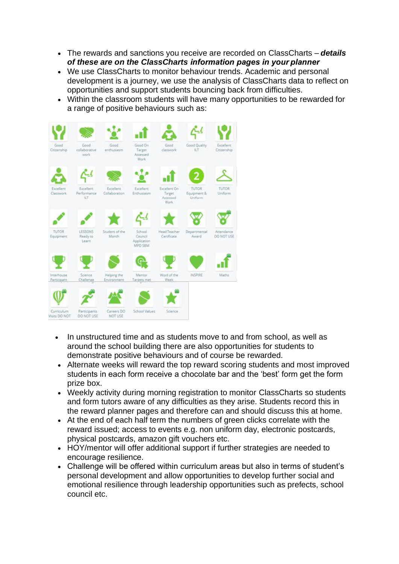- The rewards and sanctions you receive are recorded on ClassCharts *details of these are on the ClassCharts information pages in your planner*
- We use ClassCharts to monitor behaviour trends. Academic and personal development is a journey, we use the analysis of ClassCharts data to reflect on opportunities and support students bouncing back from difficulties.
- Within the classroom students will have many opportunities to be rewarded for a range of positive behaviours such as:



- In unstructured time and as students move to and from school, as well as around the school building there are also opportunities for students to demonstrate positive behaviours and of course be rewarded.
- Alternate weeks will reward the top reward scoring students and most improved students in each form receive a chocolate bar and the 'best' form get the form prize box.
- Weekly activity during morning registration to monitor ClassCharts so students and form tutors aware of any difficulties as they arise. Students record this in the reward planner pages and therefore can and should discuss this at home.
- At the end of each half term the numbers of green clicks correlate with the reward issued; access to events e.g. non uniform day, electronic postcards, physical postcards, amazon gift vouchers etc.
- HOY/mentor will offer additional support if further strategies are needed to encourage resilience.
- Challenge will be offered within curriculum areas but also in terms of student's personal development and allow opportunities to develop further social and emotional resilience through leadership opportunities such as prefects, school council etc.